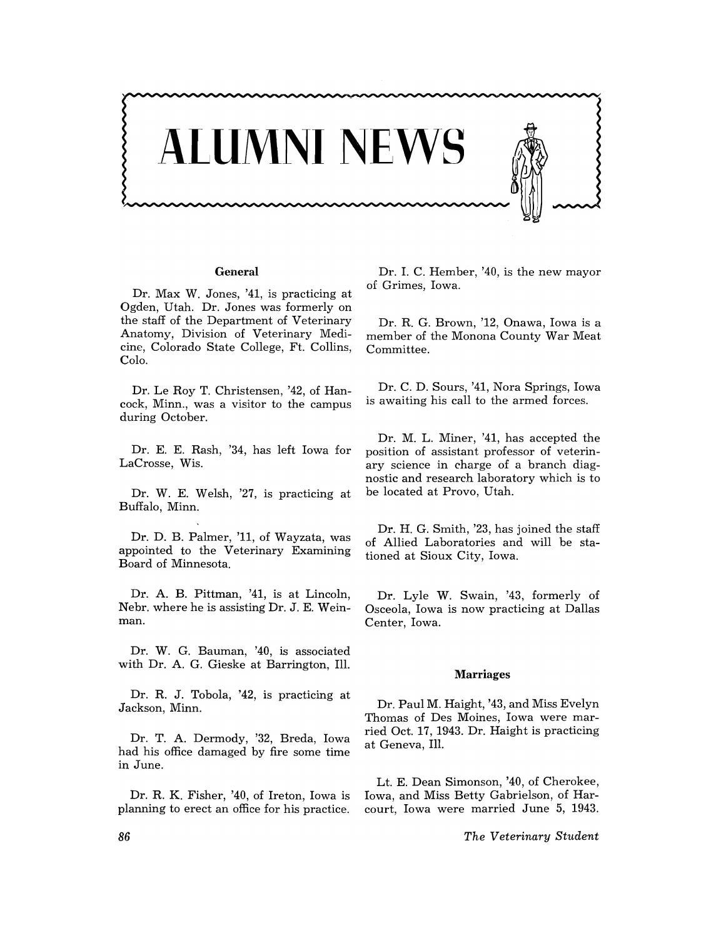

## **General**

Dr. Max W. Jones, '41, is practicing at Ogden, Utah. Dr. Jones was formerly on the staff of the Department of Veterinary Anatomy, Division of Veterinary Medicine, Colorado State College, Ft. Collins, Colo.

Dr. Le Roy T. Christensen, '42, of Hancock, Minn., was a visitor to the campus during October.

Dr. E. E. Rash, '34, has left Iowa for LaCrosse, Wis.

Dr. W. E. Welsh, '27, IS practicing at Buffalo, Minn.

Dr. D. B. Palmer, '11, of Wayzata, was appointed to the Veterinary Examining Board of Minnesota.

Dr. A. B. Pittman, '41, is at Lincoln, Nebr. where he is assisting Dr. J. E. Weinman.

Dr. W. G. Bauman, '40, is associated with Dr. A. G. Gieske at Barrington, Ill.

Dr. R. J. Tobola, '42, is practicing at Jackson, Minn.

Dr. T. A. Dermody, '32, Breda, Iowa had his office damaged by fire some time in June.

Dr. R. K. Fisher, '40, of Ireton, Iowa is planning to erect an office for his practice.

Dr. 1. C. Hember, '40, is the new mayor of Grimes, Iowa.

Dr. R. G. Brown, '12, Onawa, Iowa is a member of the Monona County War Meat Committee.

Dr. C. D. Sours, '41, Nora Springs, Iowa is awaiting his call to the armed forces.

Dr. M. L. Miner, '41, has accepted the position of assistant professor of veterinary science in charge of a branch diagnostic and research laboratory which is to be located at Provo, Utah.

Dr. H. G. Smith, '23, has joined the staff of Allied Laboratories and will be stationed at Sioux City, Iowa.

Dr. Lyle W. Swain, '43, formerly of Osceola, Iowa is now practicing at Dallas Center, Iowa.

#### Marriages

Dr. Paul M. Haight, '43, and Miss Evelyn Thomas of Des Moines, Iowa were married Oct. 17, 1943. Dr. Haight is practicing at Geneva, Ill.

Lt. E. Dean Simonson, '40, of Cherokee, Iowa, and Miss Betty Gabrielson, of Harcourt, Iowa were married June 5, 1943.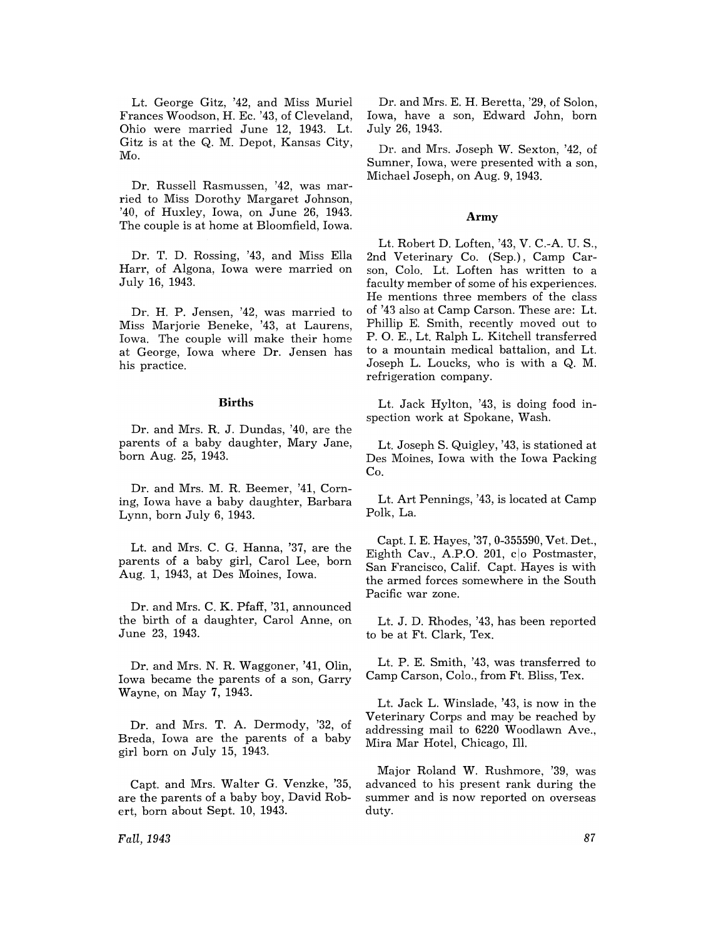Lt. George Gitz, '42, and Miss Muriel Frances Woodson, H. Ec. '43, of Cleveland, Ohio were married June 12, 1943. Lt. Gitz is at the Q. M. Depot, Kansas City, Mo.

Dr. Russell Rasmussen, '42, was married to Miss Dorothy Margaret Johnson, '40, of Huxley, Iowa, on June 26, 1943. The couple is at home at Bloomfield, Iowa.

Dr. T. D. Rossing, '43, and Miss Ella Harr, of Algona, Iowa were married on July 16, 1943.

Dr. H. P. Jensen, '42, was married to Miss Marjorie Beneke, '43, at Laurens, Iowa. The couple will make their home at George, Iowa where Dr. Jensen has his practice.

#### **Births**

Dr. and Mrs. R. J. Dundas, '40, are the parents of a baby daughter, Mary Jane, born Aug. 25, 1943.

Dr. and Mrs. M. R. Beemer, '41, Corning, Iowa have a baby daughter, Barbara Lynn, born July 6, 1943.

Lt. and Mrs. C. G. Hanna, '37, are the parents of a baby girl, Carol Lee, born Aug. 1, 1943, at Des Moines, Iowa.

Dr. and Mrs. C. K. Pfaff, '31, announced the birth of a daughter, Carol Anne, on June 23, 1943.

Dr. and Mrs. N. R. Waggoner, '41, Olin, Iowa became the parents of a son, Garry Wayne, on May 7, 1943.

Dr. and Mrs. T. A. Dermody, '32, of Breda, Iowa are the parents of a baby girl born on July 15, 1943.

Capt. and Mrs. Walter G. Venzke, '35, are the parents of a baby boy, David Robert, born about Sept. 10, 1943.

Dr. and Mrs. E. H. Beretta, '29, of Solon, Iowa, have a son, Edward John, born July 26, 1943.

Dr. and Mrs. Joseph W. Sexton, '42, of Sumner, Iowa, were presented with a son, Michael Joseph, on Aug. 9, 1943.

## **Army**

Lt. Robert D. Loften, '43, V. C.-A. U. S., 2nd Veterinary Co. (Sep.), Camp Carson, Colo. Lt. Loften has written to a faculty member of some of his experiences. He mentions three members of the class of '43 also at Camp Carson. These are: Lt. Phillip E. Smith, recently moved out to P. O. E., Lt. Ralph L. Kitchell transferred to a mountain medical battalion, and Lt. Joseph L. Loucks, who is with a Q. M. refrigeration company.

Lt. Jack Hylton, '43, is doing food inspection work at Spokane, Wash.

Lt. Joseph S. Quigley, '43, is stationed at Des Moines, Iowa with the Iowa Packing Co.

Lt. Art Pennings, '43, is located at Camp Polk, La.

Capt. 1. E. Hayes, '37, 0-355590, Vet. Det., Eighth Cav., A.P.O. 201, co Postmaster, San Francisco, Calif. Capt. Hayes is with the armed forces somewhere in the South Pacific war zone.

Lt. J. D. Rhodes, '43, has been reported to be at Ft. Clark, Tex.

Lt. P. E. Smith, '43, was transferred to Camp Carson, Colo., from Ft. Bliss, Tex.

Lt. Jack L. Winslade, '43, is now in the Veterinary Corps and may be reached by addressing mail to 6220 Woodlawn Ave., Mira Mar Hotel, Chicago, Ill.

Major Roland W. Rushmore, '39, was advanced to his present rank during the summer and is now reported on overseas duty.

*Fall,1943*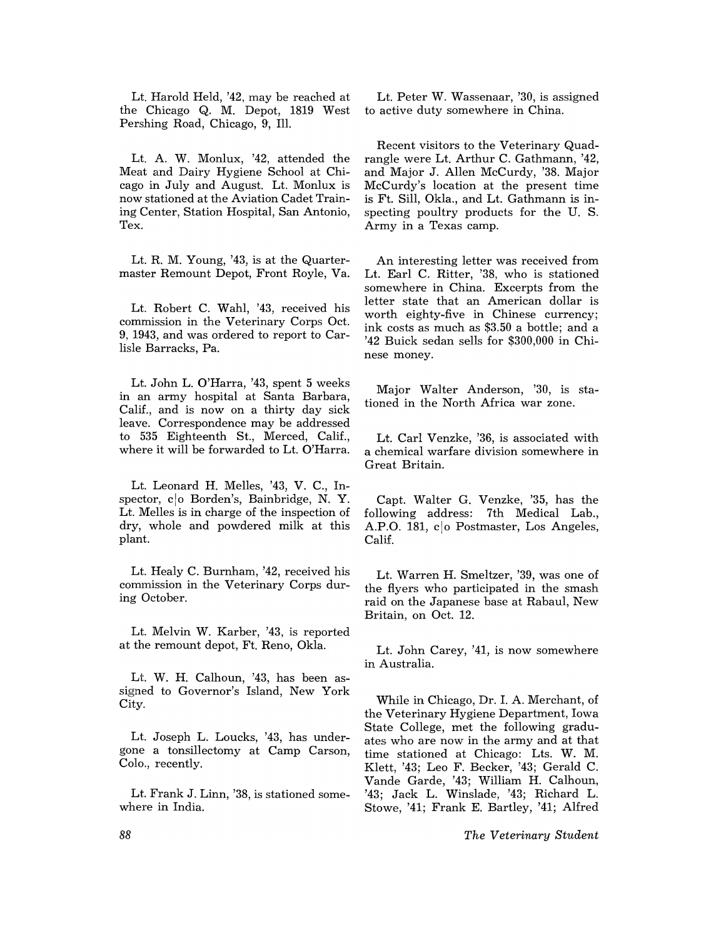Lt. Harold Held, '42, may be reached at the Chicago Q. M. Depot, 1819 West Pershing Road, Chicago, 9, Ill.

Lt. A. W. Monlux, '42, attended the Meat and Dairy Hygiene School at Chicago in July and August. Lt. Monlux is now stationed at the Aviation Cadet Training Center, Station Hospital, San Antonio, Tex.

Lt. R. M. Young, '43, is at the Quartermaster Remount Depot, Front Royle, Va.

Lt. Robert C. Wahl, '43, received his commission in the Veterinary Corps Oct. 9, 1943, and was ordered to report to Carlisle Barracks, Pa.

Lt. John L. O'Harra, '43, spent 5 weeks in an army hospital at Santa Barbara, Calif., and is now on a thirty day sick leave. Correspondence may be addressed to 535 Eighteenth St., Merced, Calif., where it will be forwarded to Lt. O'Harra.

Lt. Leonard H. Melles, '43, V. C., Inspector, coo Borden's, Bainbridge, N.Y. Lt. Melles is in charge of the inspection of dry, whole and powdered milk at this plant.

Lt. Healy C. Burnham, '42, received his commission in the Veterinary Corps during October.

Lt. Melvin W. Karber, '43, is reported at the remount depot, Ft. Reno, Okla.

Lt. W. H. Calhoun, '43, has been assigned to Governor's Island, New York City.

Lt. Joseph L. Loucks, '43, has undergone a tonsillectomy at Camp Carson, Colo., recently.

Lt. Frank J. Linn, '38, is stationed somewhere in India.

Lt. Peter W. Wassenaar, '30, is assigned to active duty somewhere in China.

Recent visitors to the Veterinary Quadrangle were Lt. Arthur C. Gathmann, '42, and Major J. Allen McCurdy, '38. Major McCurdy's location at the present time is Ft. Sill, Okla., and Lt. Gathmann is inspecting poultry products for the U. S. Army in a Texas camp.

An interesting letter was received from Lt. Earl C. Ritter, '38, who is stationed somewhere in China. Excerpts from the letter state that an American dollar is worth eighty-five in Chinese currency; ink costs as much as \$3.50 a bottle; and a '42 Buick sedan sells for \$300,000 in Chinese money.

Major Walter Anderson, '30, is stationed in the North Africa war zone.

Lt. Carl Venzke, '36, is associated with a chemical warfare division somewhere in Great Britain.

Capt. Walter G. Venzke, '35, has the following address: 7th Medical Lab., A.P.O. 181, co Postmaster, Los Angeles, Calif.

Lt. Warren H. Smeltzer, '39, was one of the flyers who participated in the smash raid on the Japanese base at Rabaul, New Britain, on Oct. 12.

Lt. John Carey, '41, is now somewhere in Australia.

While in Chicago, Dr. 1. A. Merchant, of the Veterinary Hygiene Department, Iowa State College, met the following graduates who are now in the army and at that time stationed at Chicago: Lts. W. M. Klett, '43; Leo F. Becker, '43; Gerald C. Vande Garde, '43; William H. Calhoun, '43; Jack L. Winslade, '43; Richard L. Stowe, '41; Frank E. Bartley, '41; Alfred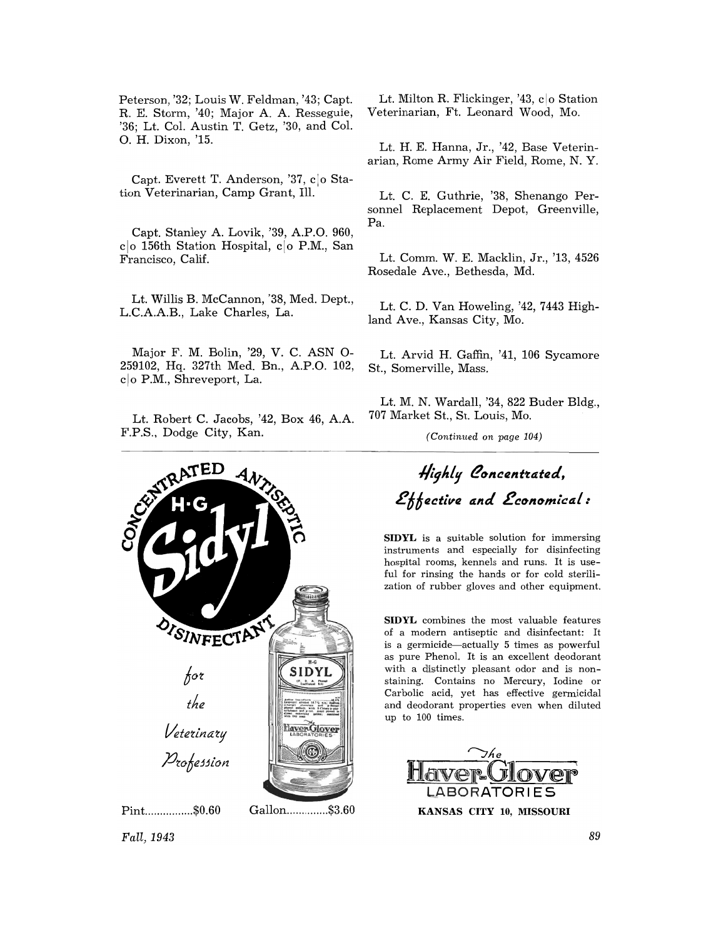Peterson, '32; Louis W. Feldman, '43; Capt. R. E. Storm, '40; Major A. A. Resseguie, '36; Lt. Col. Austin T. Getz, '30, and Col. O. H. Dixon, '15.

Capt. Everett T. Anderson, '37, c o Station Veterinarian, Camp Grant, Ill.

Capt. Stanley A. Lovik, '39, A.P.O. 960,  $c|o$  156th Station Hospital,  $c|o$  P.M., San Francisco, Calif.

Lt. Willis B. McCannon, '38, Med. Dept., L.C.AAB., Lake Charles, La.

Major F. M. Bolin, '29, V. C. ASN 0- 259102, Hq. 327th Med. Bn., AP.O. 102, clo P.M., Shreveport, La.

Lt. Robert C. Jacobs, '42, Box 46, A.A. F.P.S., Dodge City, Kan.



Lt. Milton R. Flickinger, '43, c o Station Veterinarian, Ft. Leonard Wood, Mo.

Lt. H. E. Hanna, Jr., '42, Base Veterinarian, Rome Army Air Field, Rome, N. Y.

Lt. C. E. Guthrie, '38, Shenango Personnel Replacement Depot, Greenville, Pa.

Lt. Comm. W. E. Macklin, Jr., '13, 4526 Rosedale Ave., Bethesda, Md.

Lt. C. D. Van Howeling, '42, 7443 Highland Ave., Kansas City, Mo.

Lt. Arvid H. Gaffin, '41, 106 Sycamore St., Somerville, Mass.

Lt. M. N. Wardall, '34, 822 Buder Bldg., 707 Market St., St. Louis, Mo.

*(Continued on page 104)* 

# Highly Concentrated,  $Rth$ <sub>z</sub> ective and *Economical*:

SIDYL is a suitable solution for immersing instruments and especially for disinfecting hospital rooms, kennels and runs. It is useful for rinsing the hands or for cold sterilization of rubber gloves and other equipment.

SIDYL combines the most valuable features of a modern antiseptic and disinfectant: It is a germicide-actually 5 times as powerful as pure Phenol. It is an excellent deodorant with a distinctly pleasant odor and is nonstaining. Contains no Mercury, Iodine or Carbolic acid, yet has effective germicidal and deodorant properties even when diluted up to 100 times.



*Fall,1943*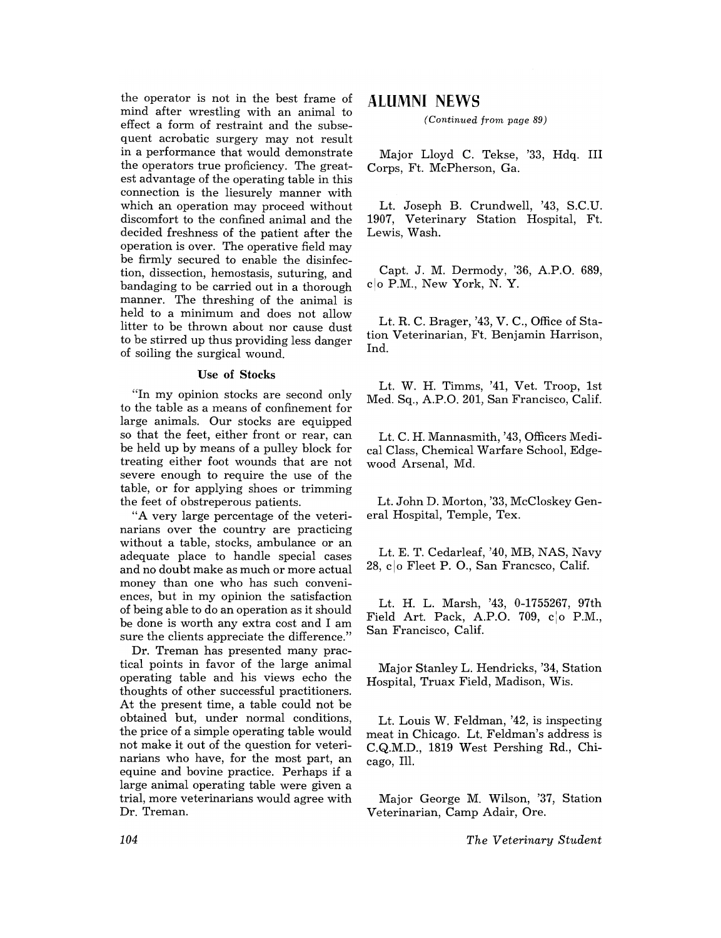the operator is not in the best frame of mind after wrestling with an animal to effect a form of restraint and the subsequent acrobatic surgery may not result in a performance that would demonstrate the operators true proficiency. The greatest advantage of the operating table in this connection is the liesurely manner with which an operation may proceed without discomfort to the confined animal and the decided freshness of the patient after the operation is over. The operative field may be firmly secured to enable the disinfection, dissection, hemostasis, suturing, and bandaging to be carried out in a thorough manner. The threshing of the animal is held to a minimum and does not allow litter to be thrown about nor cause dust to be stirred up thus providing less danger of soiling the surgical wound.

## Use of Stocks

"In my opinion stocks are second only to the table as a means of confinement for large animals. Our stocks are equipped so that the feet, either front or rear, can be held up by means of a pulley block for treating either foot wounds that are not severe enough to require the use of the table, or for applying shoes or trimming the feet of obstreperous patients.

"A very large percentage of the veterinarians over the country are practicing without a table, stocks, ambulance or an adequate place to handle special cases and no doubt make as much or more actual money than one who has such conveniences, but in my opinion the satisfaction of being able to do an operation as it should be done is worth any extra cost and I am sure the clients appreciate the difference."

Dr. Treman has presented many practical points in favor of the large animal operating table and his views echo the thoughts of other successful practitioners. At the present time, a table could not be obtained but, under normal conditions, the price of a simple operating table would not make it out of the question for veterinarians who have, for the most part, an equine and bovine practice. Perhaps if a large animal operating table were given a trial, more veterinarians would agree with Dr. Treman.

# **ALUMNI NEWS**

*(Continued from page 89)* 

Major Lloyd C. Tekse, '33, Hdq. III Corps, Ft. McPherson, Ga.

Lt. Joseph B. Crundwell, '43, S.C.U. Veterinary Station Hospital, Ft. Lewis, Wash.

Capt. J. M. Dermody, '36, A.P.O. 689, clo P.M., New York, N. Y.

Lt. R. C. Brager, '43, V. C., Office of Station Veterinarian, Ft. Benjamin Harrison, Ind.

Lt. W. H. Timms, '41, Vet. Troop, 1st Med. Sq., A.P.O. 201, San Francisco, Calif.

Lt. C. H. Mannasmith, '43, Officers Medical Class, Chemical Warfare School, Edgewood Arsenal, Md.

Lt. John D. Morton, '33, McCloskey General Hospital, Temple, Tex.

Lt. E. T. Cedarleaf, '40, MB, NAS, Navy 28, clo Fleet P.O., San Francsco, Calif.

Lt. H. L. Marsh, '43, 0-1755267, 97th Field Art. Pack, A.P.O. 709,  $c|o$  P.M., San Francisco, Calif.

Major Stanley L. Hendricks, '34, Station Hospital, Truax Field, Madison, Wis.

Lt. Louis W. Feldman, '42, is inspecting meat in Chicago. Lt. Feldman's address is C.Q.M.D., 1819 West Pershing Rd., Chicago, Ill.

Major George M. Wilson, '37, Station Veterinarian, Camp Adair, Ore.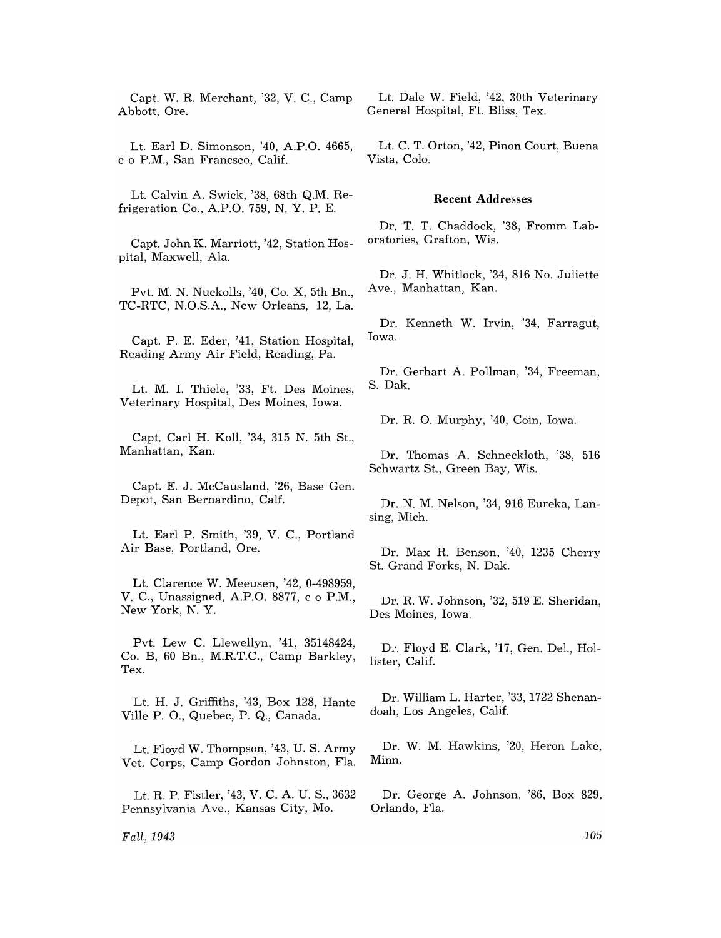Capt. W. R. Merchant, '32, V. C., Camp Abbott, Ore.

Lt. Earl D. Simonson, '40, A.P.O. 4665, c 0 P.M., San Francsco, Calif.

Lt. Calvin A. Swick, '38, 68th Q.M. Refrigeration Co., A.P.O. 759, N. Y. P. E.

Capt. John K. Marriott, '42, Station Hospital, Maxwell, Ala.

Pvt. M. N. Nuckolls, '40, Co. X, 5th Bn., TC-RTC, N.O.S.A., New Orleans, 12, La.

Capt. P. E. Eder, '41, Station Hospital, Reading Army Air Field, Reading, Pa.

Lt. M. 1. Thiele, '33, Ft. Des Moines, Veterinary Hospital, Des Moines, Iowa.

Capt. Carl H. Koll, '34, 315 N. 5th St., Manhattan, Kan.

Capt. E. J. McCausland, '26, Base Gen. Depot, San Bernardino, Calf.

Lt. Earl P. Smith, '39, V. C., Portland Air Base, Portland, Ore.

Lt. Clarence W. Meeusen, '42, 0-498959, V. C., Unassigned, A.P.O. 8877, co P.M., New York, N. Y.

Pvt. Lew C. Llewellyn, '41, 35148424, Co. B, 60 Bn., M.R.T.C., Camp Barkley, Tex.

Lt. H. J. Griffiths, '43, Box 128, Hante Ville P.O., Quebec, P. Q., Canada.

Lt. Floyd W. Thompson, '43, U. S. Army Vet. Corps, Camp Gordon Johnston, Fla.

Lt. R. P. Fistler, '43, V. C. A. U. S., 3632 Pennsylvania Ave., Kansas City, Mo.

*Fall,1943* 

Lt. Dale W. Field, '42, 30th Veterinary General Hospital, Ft. Bliss, Tex.

Lt. C. T. Orton, '42, Pinon Court, Buena Vista, Colo.

## **Recent Addresses**

Dr. T. T. Chaddock, '38, Fromm Laboratories, Grafton, Wis.

Dr. J. H. Whitlock, '34, 816 No. Juliette Ave., Manhattan, Kan.

Dr. Kenneth W. Irvin, '34, Farragut, Iowa.

Dr. Gerhart A. Pollman, '34, Freeman, S. Dak.

Dr. R. O. Murphy, '40, Coin, Iowa.

Dr. Thomas A. Schneckloth, '38, 516 Schwartz St., Green Bay, Wis.

Dr. N. M. Nelson, '34, 916 Eureka, Lansing, Mich.

Dr. Max R. Benson, '40, 1235 Cherry St. Grand Forks, N. Dak.

Dr. R. W. Johnson, '32, 519 E. Sheridan, Des Moines, Iowa.

D<sub>1</sub>. Floyd E. Clark, '17, Gen. Del., Hollister, Calif.

Dr. William L. Harter, '33, 1722 Shenandoah, Los Angeles, Calif.

Dr. W. M. Hawkins, '20, Heron Lake, Minn.

Dr. George A. Johnson, '86, Box 829, Orlando, Fla.

105